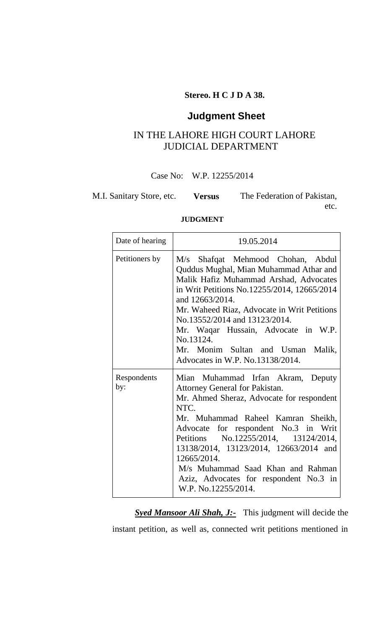### **Stereo. H C J D A 38.**

# **Judgment Sheet**

## IN THE LAHORE HIGH COURT LAHORE JUDICIAL DEPARTMENT

Case No: W.P. 12255/2014

M.I. Sanitary Store, etc. **Versus** The Federation of Pakistan,

etc.

#### **JUDGMENT**

| Date of hearing    | 19.05.2014                                                                                                                                                                                                                                                                                                                                                                                                    |
|--------------------|---------------------------------------------------------------------------------------------------------------------------------------------------------------------------------------------------------------------------------------------------------------------------------------------------------------------------------------------------------------------------------------------------------------|
| Petitioners by     | M/s Shafqat Mehmood Chohan, Abdul<br>Quddus Mughal, Mian Muhammad Athar and<br>Malik Hafiz Muhammad Arshad, Advocates<br>in Writ Petitions No.12255/2014, 12665/2014<br>and 12663/2014.<br>Mr. Waheed Riaz, Advocate in Writ Petitions<br>No.13552/2014 and 13123/2014.<br>Mr. Waqar Hussain, Advocate in W.P.<br>No.13124.<br>Mr. Monim Sultan and Usman Malik,<br>Advocates in W.P. No.13138/2014.          |
| Respondents<br>by: | Mian Muhammad Irfan Akram, Deputy<br>Attorney General for Pakistan.<br>Mr. Ahmed Sheraz, Advocate for respondent<br>NTC.<br>Mr. Muhammad Raheel Kamran Sheikh,<br>Advocate for respondent No.3 in Writ<br>Petitions No.12255/2014, 13124/2014,<br>13138/2014, 13123/2014, 12663/2014 and<br>12665/2014.<br>M/s Muhammad Saad Khan and Rahman<br>Aziz, Advocates for respondent No.3 in<br>W.P. No.12255/2014. |

*Syed Mansoor Ali Shah, J:-* This judgment will decide the instant petition, as well as, connected writ petitions mentioned in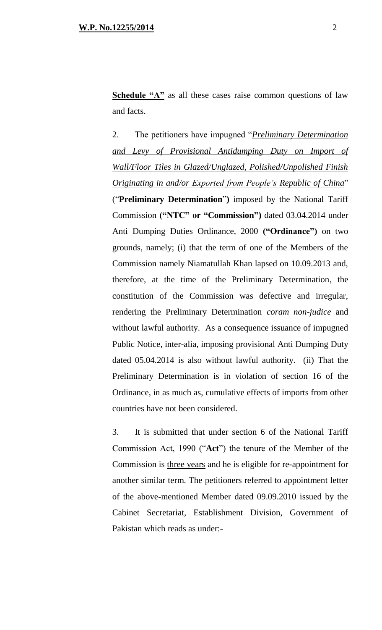**Schedule "A"** as all these cases raise common questions of law and facts.

2. The petitioners have impugned "*Preliminary Determination and Levy of Provisional Antidumping Duty on Import of Wall/Floor Tiles in Glazed/Unglazed, Polished/Unpolished Finish Originating in and/or Exported from People's Republic of China*" ("**Preliminary Determination**"**)** imposed by the National Tariff Commission **("NTC" or "Commission")** dated 03.04.2014 under Anti Dumping Duties Ordinance, 2000 **("Ordinance")** on two grounds, namely; (i) that the term of one of the Members of the Commission namely Niamatullah Khan lapsed on 10.09.2013 and, therefore, at the time of the Preliminary Determination, the constitution of the Commission was defective and irregular, rendering the Preliminary Determination *coram non-judice* and without lawful authority. As a consequence issuance of impugned Public Notice, inter-alia, imposing provisional Anti Dumping Duty dated 05.04.2014 is also without lawful authority. (ii) That the Preliminary Determination is in violation of section 16 of the Ordinance, in as much as, cumulative effects of imports from other countries have not been considered.

3. It is submitted that under section 6 of the National Tariff Commission Act, 1990 ("**Act**") the tenure of the Member of the Commission is three years and he is eligible for re-appointment for another similar term. The petitioners referred to appointment letter of the above-mentioned Member dated 09.09.2010 issued by the Cabinet Secretariat, Establishment Division, Government of Pakistan which reads as under:-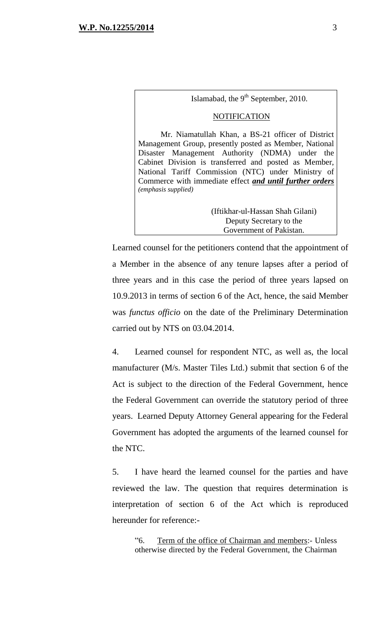Islamabad, the  $9<sup>th</sup>$  September, 2010.

#### **NOTIFICATION**

Mr. Niamatullah Khan, a BS-21 officer of District Management Group, presently posted as Member, National Disaster Management Authority (NDMA) under the Cabinet Division is transferred and posted as Member, National Tariff Commission (NTC) under Ministry of Commerce with immediate effect *and until further orders (emphasis supplied)*

> (Iftikhar-ul-Hassan Shah Gilani) Deputy Secretary to the Government of Pakistan.

Learned counsel for the petitioners contend that the appointment of a Member in the absence of any tenure lapses after a period of three years and in this case the period of three years lapsed on 10.9.2013 in terms of section 6 of the Act, hence, the said Member was *functus officio* on the date of the Preliminary Determination carried out by NTS on 03.04.2014.

4. Learned counsel for respondent NTC, as well as, the local manufacturer (M/s. Master Tiles Ltd.) submit that section 6 of the Act is subject to the direction of the Federal Government, hence the Federal Government can override the statutory period of three years. Learned Deputy Attorney General appearing for the Federal Government has adopted the arguments of the learned counsel for the NTC.

5. I have heard the learned counsel for the parties and have reviewed the law. The question that requires determination is interpretation of section 6 of the Act which is reproduced hereunder for reference:-

"6. Term of the office of Chairman and members:- Unless otherwise directed by the Federal Government, the Chairman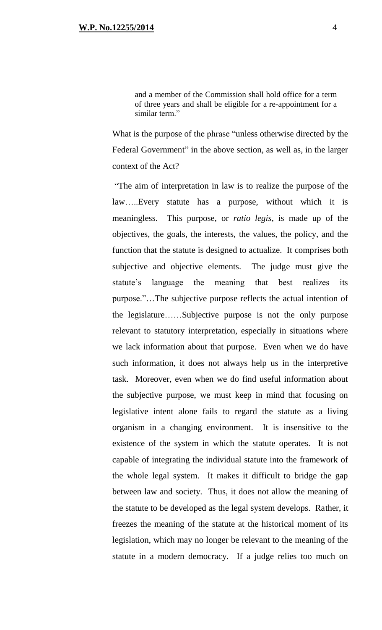and a member of the Commission shall hold office for a term of three years and shall be eligible for a re-appointment for a similar term."

What is the purpose of the phrase "unless otherwise directed by the Federal Government" in the above section, as well as, in the larger context of the Act?

"The aim of interpretation in law is to realize the purpose of the law…..Every statute has a purpose, without which it is meaningless. This purpose, or *ratio legis*, is made up of the objectives, the goals, the interests, the values, the policy, and the function that the statute is designed to actualize. It comprises both subjective and objective elements. The judge must give the statute's language the meaning that best realizes its purpose."…The subjective purpose reflects the actual intention of the legislature……Subjective purpose is not the only purpose relevant to statutory interpretation, especially in situations where we lack information about that purpose. Even when we do have such information, it does not always help us in the interpretive task. Moreover, even when we do find useful information about the subjective purpose, we must keep in mind that focusing on legislative intent alone fails to regard the statute as a living organism in a changing environment. It is insensitive to the existence of the system in which the statute operates. It is not capable of integrating the individual statute into the framework of the whole legal system. It makes it difficult to bridge the gap between law and society. Thus, it does not allow the meaning of the statute to be developed as the legal system develops. Rather, it freezes the meaning of the statute at the historical moment of its legislation, which may no longer be relevant to the meaning of the statute in a modern democracy. If a judge relies too much on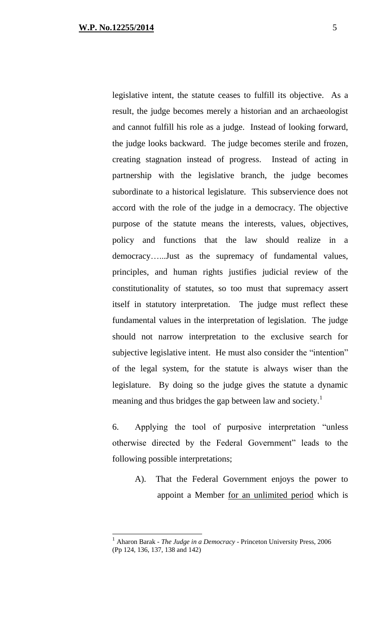$\overline{a}$ 

legislative intent, the statute ceases to fulfill its objective. As a result, the judge becomes merely a historian and an archaeologist and cannot fulfill his role as a judge. Instead of looking forward, the judge looks backward. The judge becomes sterile and frozen, creating stagnation instead of progress. Instead of acting in partnership with the legislative branch, the judge becomes subordinate to a historical legislature. This subservience does not accord with the role of the judge in a democracy. The objective purpose of the statute means the interests, values, objectives, policy and functions that the law should realize in a democracy…...Just as the supremacy of fundamental values, principles, and human rights justifies judicial review of the constitutionality of statutes, so too must that supremacy assert itself in statutory interpretation. The judge must reflect these fundamental values in the interpretation of legislation. The judge should not narrow interpretation to the exclusive search for subjective legislative intent. He must also consider the "intention" of the legal system, for the statute is always wiser than the legislature. By doing so the judge gives the statute a dynamic meaning and thus bridges the gap between law and society.<sup>1</sup>

6. Applying the tool of purposive interpretation "unless otherwise directed by the Federal Government" leads to the following possible interpretations;

A). That the Federal Government enjoys the power to appoint a Member for an unlimited period which is

<sup>1</sup> Aharon Barak *- The Judge in a Democracy* - Princeton University Press, 2006 (Pp 124, 136, 137, 138 and 142)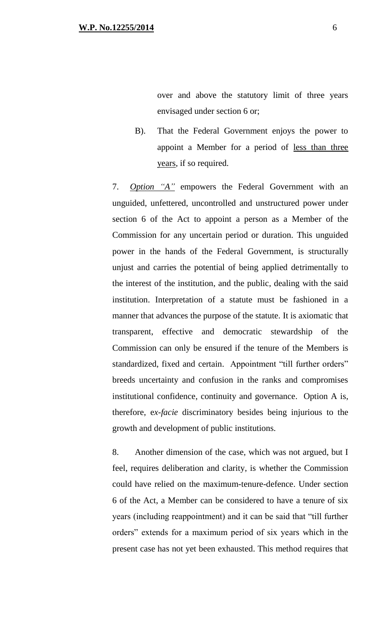over and above the statutory limit of three years envisaged under section 6 or;

B). That the Federal Government enjoys the power to appoint a Member for a period of less than three years, if so required*.*

7. *Option "A"* empowers the Federal Government with an unguided, unfettered, uncontrolled and unstructured power under section 6 of the Act to appoint a person as a Member of the Commission for any uncertain period or duration. This unguided power in the hands of the Federal Government, is structurally unjust and carries the potential of being applied detrimentally to the interest of the institution, and the public, dealing with the said institution. Interpretation of a statute must be fashioned in a manner that advances the purpose of the statute. It is axiomatic that transparent, effective and democratic stewardship of the Commission can only be ensured if the tenure of the Members is standardized, fixed and certain. Appointment "till further orders" breeds uncertainty and confusion in the ranks and compromises institutional confidence, continuity and governance. Option A is, therefore, e*x-facie* discriminatory besides being injurious to the growth and development of public institutions.

8. Another dimension of the case, which was not argued, but I feel, requires deliberation and clarity, is whether the Commission could have relied on the maximum-tenure-defence. Under section 6 of the Act, a Member can be considered to have a tenure of six years (including reappointment) and it can be said that "till further orders" extends for a maximum period of six years which in the present case has not yet been exhausted. This method requires that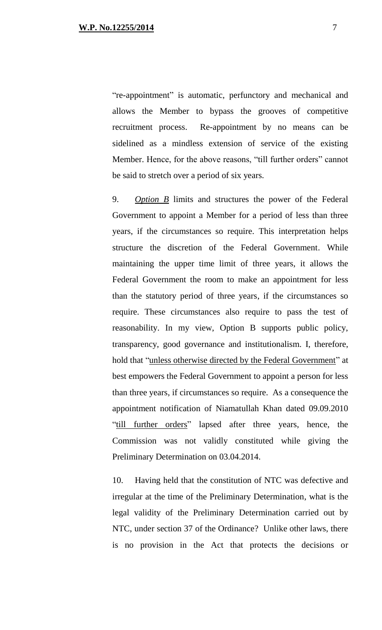"re-appointment" is automatic, perfunctory and mechanical and allows the Member to bypass the grooves of competitive recruitment process. Re-appointment by no means can be sidelined as a mindless extension of service of the existing Member. Hence, for the above reasons, "till further orders" cannot be said to stretch over a period of six years.

9. *Option B* limits and structures the power of the Federal Government to appoint a Member for a period of less than three years, if the circumstances so require. This interpretation helps structure the discretion of the Federal Government. While maintaining the upper time limit of three years, it allows the Federal Government the room to make an appointment for less than the statutory period of three years, if the circumstances so require. These circumstances also require to pass the test of reasonability. In my view, Option B supports public policy, transparency, good governance and institutionalism. I, therefore, hold that "unless otherwise directed by the Federal Government" at best empowers the Federal Government to appoint a person for less than three years, if circumstances so require. As a consequence the appointment notification of Niamatullah Khan dated 09.09.2010 "till further orders" lapsed after three years, hence, the Commission was not validly constituted while giving the Preliminary Determination on 03.04.2014.

10. Having held that the constitution of NTC was defective and irregular at the time of the Preliminary Determination, what is the legal validity of the Preliminary Determination carried out by NTC, under section 37 of the Ordinance? Unlike other laws, there is no provision in the Act that protects the decisions or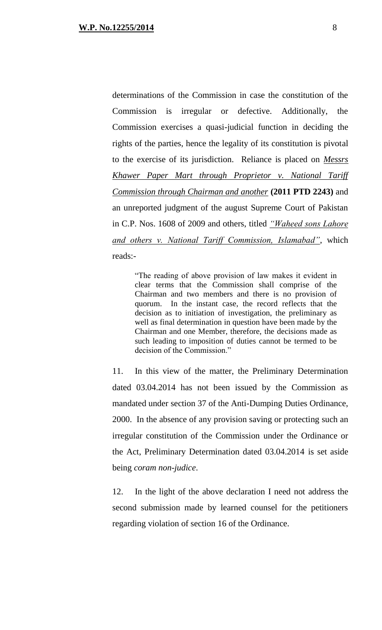determinations of the Commission in case the constitution of the Commission is irregular or defective. Additionally, the Commission exercises a quasi-judicial function in deciding the rights of the parties, hence the legality of its constitution is pivotal to the exercise of its jurisdiction. Reliance is placed on *Messrs Khawer Paper Mart through Proprietor v. National Tariff Commission through Chairman and another* **(2011 PTD 2243)** and an unreported judgment of the august Supreme Court of Pakistan in C.P. Nos. 1608 of 2009 and others, titled *"Waheed sons Lahore and others v. National Tariff Commission, Islamabad"*, which reads:-

"The reading of above provision of law makes it evident in clear terms that the Commission shall comprise of the Chairman and two members and there is no provision of quorum. In the instant case, the record reflects that the decision as to initiation of investigation, the preliminary as well as final determination in question have been made by the Chairman and one Member, therefore, the decisions made as such leading to imposition of duties cannot be termed to be decision of the Commission."

11. In this view of the matter, the Preliminary Determination dated 03.04.2014 has not been issued by the Commission as mandated under section 37 of the Anti-Dumping Duties Ordinance, 2000. In the absence of any provision saving or protecting such an irregular constitution of the Commission under the Ordinance or the Act, Preliminary Determination dated 03.04.2014 is set aside being *coram non-judice*.

12. In the light of the above declaration I need not address the second submission made by learned counsel for the petitioners regarding violation of section 16 of the Ordinance.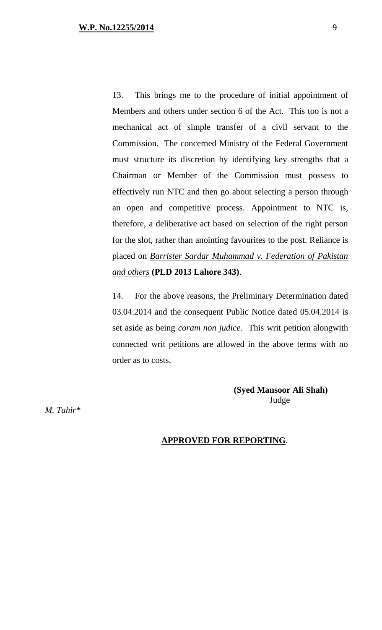13. This brings me to the procedure of initial appointment of Members and others under section 6 of the Act. This too is not a mechanical act of simple transfer of a civil servant to the Commission. The concerned Ministry of the Federal Government must structure its discretion by identifying key strengths that a Chairman or Member of the Commission must possess to effectively run NTC and then go about selecting a person through an open and competitive process. Appointment to NTC is, therefore, a deliberative act based on selection of the right person for the slot, rather than anointing favourites to the post. Reliance is placed on *Barrister Sardar Muhammad v. Federation of Pakistan and others* **(PLD 2013 Lahore 343)**.

14. For the above reasons, the Preliminary Determination dated 03.04.2014 and the consequent Public Notice dated 05.04.2014 is set aside as being *coram non judice*. This writ petition alongwith connected writ petitions are allowed in the above terms with no order as to costs.

> **(Syed Mansoor Ali Shah)** Judge

*M. Tahir\** 

#### **APPROVED FOR REPORTING**.